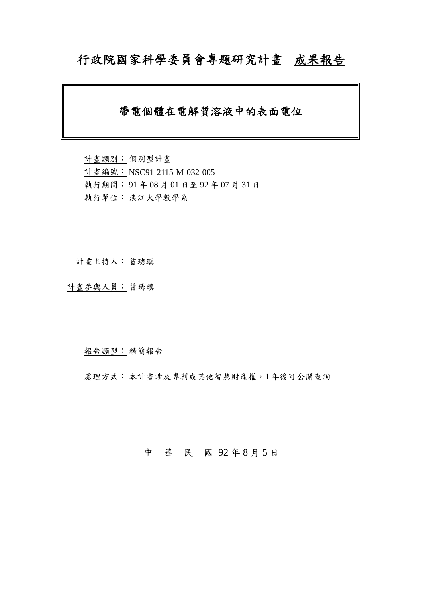# 行政院國家科學委員會專題研究計畫成果報告

# 帶電個體在電解質溶液中的表面電位

計畫類別: 個別型計畫 計畫編號: NSC91-2115-M-032-005- 執行期間: 91 年 08 月 01 日至 92 年 07 月 31 日 執行單位: 淡江大學數學系

計畫主持人: 曾琇瑱

計畫參與人員: 曾琇瑱

報告類型: 精簡報告

處理方式:本計畫涉及專利或其他智慧財產權,1年後可公開查詢

## 中 華 民 國 92 年 8 月 5 日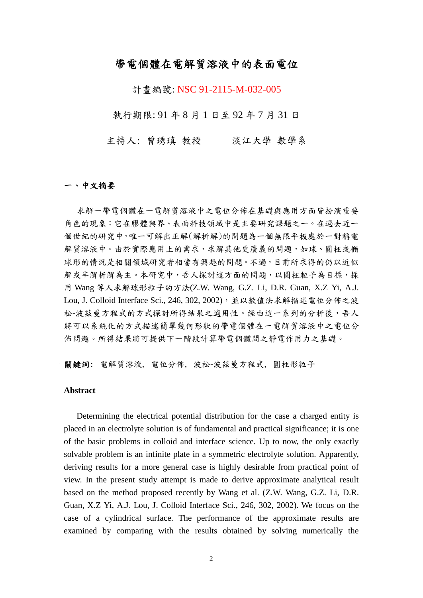## 帶電個體在電解質溶液中的表面電位

計畫編號: NSC 91-2115-M-032-005

執行期限: 91 年 8 月 1 日至 92 年 7 月 31 日

主持人: 曾琇瑱 教授 淡江大學 數學系

#### 一、中文摘要

求解一帶電個體在一電解質溶液中之電位分佈在基礎與應用方面皆扮演重要 角色的現象;它在膠體與界、表面科技領域中是主要研究課題之一。在過去近一 個世紀的研究中,唯一可解出正解(解析解)的問題為一個無限平板處於一對稱電 解質溶液中。由於實際應用上的需求,求解其他更廣義的問題,如球、圓柱或橢 球形的情況是相關領域研究者相當有興趣的問題。不過,目前所求得的仍以近似 解或半解析解為主。本研究中,吾人探討這方面的問題,以圓柱粒子為目標,採 用 Wang 等人求解球形粒子的方法(Z.W. Wang, G.Z. Li, D.R. Guan, X.Z Yi, A.J. Lou, J. Colloid Interface Sci., 246, 302, 2002), 並以數值法求解描述電位分佈之波 松-波茲曼方程式的方式探討所得結果之適用性。經由這一系列的分析後,吾人 將可以系統化的方式描述簡單幾何形狀的帶電個體在一電解質溶液中之電位分 佈問題。所得結果將可提供下一階段計算帶電個體間之靜電作用力之基礎。

關鍵詞: 電解質溶液, 電位分佈, 波松-波茲曼方程式, 圓柱形粒子

#### **Abstract**

 Determining the electrical potential distribution for the case a charged entity is placed in an electrolyte solution is of fundamental and practical significance; it is one of the basic problems in colloid and interface science. Up to now, the only exactly solvable problem is an infinite plate in a symmetric electrolyte solution. Apparently, deriving results for a more general case is highly desirable from practical point of view. In the present study attempt is made to derive approximate analytical result based on the method proposed recently by Wang et al. (Z.W. Wang, G.Z. Li, D.R. Guan, X.Z Yi, A.J. Lou, J. Colloid Interface Sci., 246, 302, 2002). We focus on the case of a cylindrical surface. The performance of the approximate results are examined by comparing with the results obtained by solving numerically the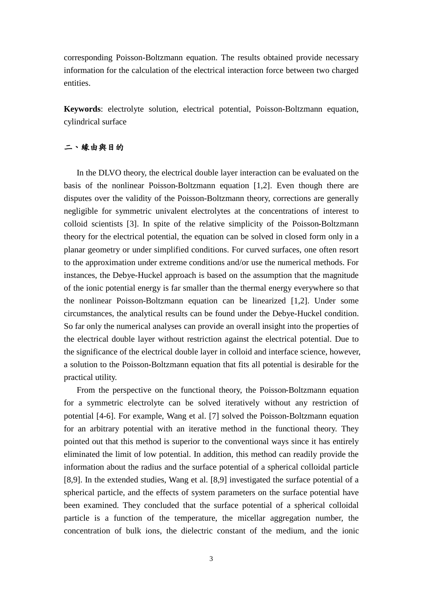corresponding Poisson-Boltzmann equation. The results obtained provide necessary information for the calculation of the electrical interaction force between two charged entities.

**Keywords**: electrolyte solution, electrical potential, Poisson-Boltzmann equation, cylindrical surface

### 二、緣由與目的

 In the DLVO theory, the electrical double layer interaction can be evaluated on the basis of the nonlinear Poisson-Boltzmann equation [1,2]. Even though there are disputes over the validity of the Poisson-Boltzmann theory, corrections are generally negligible for symmetric univalent electrolytes at the concentrations of interest to colloid scientists [3]. In spite of the relative simplicity of the Poisson-Boltzmann theory for the electrical potential, the equation can be solved in closed form only in a planar geometry or under simplified conditions. For curved surfaces, one often resort to the approximation under extreme conditions and/or use the numerical methods. For instances, the Debye-Huckel approach is based on the assumption that the magnitude of the ionic potential energy is far smaller than the thermal energy everywhere so that the nonlinear Poisson-Boltzmann equation can be linearized [1,2]. Under some circumstances, the analytical results can be found under the Debye-Huckel condition. So far only the numerical analyses can provide an overall insight into the properties of the electrical double layer without restriction against the electrical potential. Due to the significance of the electrical double layer in colloid and interface science, however, a solution to the Poisson-Boltzmann equation that fits all potential is desirable for the practical utility.

 From the perspective on the functional theory, the Poisson-Boltzmann equation for a symmetric electrolyte can be solved iteratively without any restriction of potential [4-6]. For example, Wang et al. [7] solved the Poisson-Boltzmann equation for an arbitrary potential with an iterative method in the functional theory. They pointed out that this method is superior to the conventional ways since it has entirely eliminated the limit of low potential. In addition, this method can readily provide the information about the radius and the surface potential of a spherical colloidal particle [8,9]. In the extended studies, Wang et al. [8,9] investigated the surface potential of a spherical particle, and the effects of system parameters on the surface potential have been examined. They concluded that the surface potential of a spherical colloidal particle is a function of the temperature, the micellar aggregation number, the concentration of bulk ions, the dielectric constant of the medium, and the ionic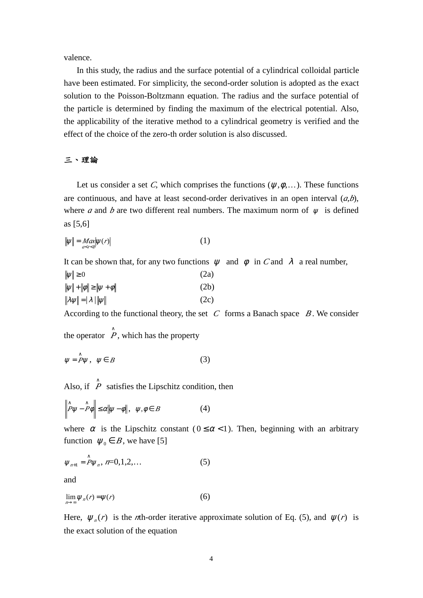valence.

 In this study, the radius and the surface potential of a cylindrical colloidal particle have been estimated. For simplicity, the second-order solution is adopted as the exact solution to the Poisson-Boltzmann equation. The radius and the surface potential of the particle is determined by finding the maximum of the electrical potential. Also, the applicability of the iterative method to a cylindrical geometry is verified and the effect of the choice of the zero-th order solution is also discussed.

#### 三、理論

Let us consider a set *C*, which comprises the functions ( $\mathcal{F}, \mathcal{W}, \dots$ ). These functions are continuous, and have at least second-order derivatives in an open interval  $(a,b)$ , where *a* and *b* are two different real numbers. The maximum norm of  $\mathcal{F}$  is defined as [5,6]

$$
\|\mathcal{I}\| = \underset{a < r < b}{\text{Max}} |\mathcal{I}(r)|\tag{1}
$$

It can be shown that, for any two functions  $\mathcal F$  and  $\mathcal W$  in *C* and *l* a real number,

| $\ \mathcal{I}\  \geq 0$                                              | (2a) |
|-----------------------------------------------------------------------|------|
| $\ \mathcal{L}\  + \ \mathcal{U}\  \ge \ \mathcal{L} + \mathcal{U}\ $ | (2b) |
| $\ \mathcal{H}\  =  \mathcal{F} \ \mathcal{L}\ $                      | (2c) |

According to the functional theory, the set  $C$  forms a Banach space  $B$ . We consider

the operator  $\hat{P}$ , which has the property

$$
\mathcal{L} = \mathcal{P}\mathcal{L}, \quad \mathcal{L} \in B \tag{3}
$$

Also, if  $\hat{P}$  satisfies the Lipschitz condition, then

$$
\left\|\hat{P}\mathcal{E}-\hat{P}\mathcal{W}\right\|\leq r\|\mathcal{E}-\mathcal{W}\|,\ \mathcal{E},\mathcal{W}\in B\tag{4}
$$

where  $r$  is the Lipschitz constant ( $0 \le r < 1$ ). Then, beginning with an arbitrary function  $\mathcal{L}_0 \in B$ , we have [5]

$$
\mathcal{L}_{n+1} = \hat{P}\mathcal{L}_n, n=0,1,2,... \tag{5}
$$

and

$$
\lim_{n \to \infty} \mathcal{L}_n(r) = \mathcal{L}(r) \tag{6}
$$

Here,  $\mathcal{F}_n(r)$  is the *n*th-order iterative approximate solution of Eq. (5), and  $\mathcal{F}(r)$  is the exact solution of the equation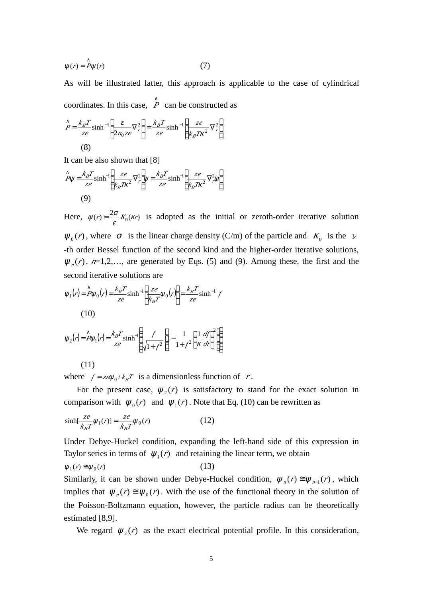$$
\mathcal{L}(r) = \mathcal{P}\mathcal{L}(r) \tag{7}
$$

As will be illustrated latter, this approach is applicable to the case of cylindrical coordinates. In this case,  $\hat{P}$  can be constructed as

$$
\hat{P} = \frac{k_B T}{ze} \sinh^{-1} \left[ \frac{V}{2n_0 z e} \nabla_r^2 \right] = \frac{k_B T}{ze} \sinh^{-1} \left[ \frac{ze}{k_B T r^2} \nabla_r^2 \right]
$$
\n(8)

It can be also shown that [8]

$$
\hat{P}\mathcal{L} = \frac{k_B T}{ze} \sinh^{-1} \left[ \frac{ze}{k_B T'^2} \nabla_r^2 \right] \mathcal{L} = \frac{k_B T}{ze} \sinh^{-1} \left[ \frac{ze}{k_B T'^2} \nabla_r^2 \mathcal{L} \right]
$$
\n(9)

Here,  $\mathcal{L}(r) = \frac{2f}{V} K_0(r)$  $E(r) = \frac{2f}{r} K_0(r)$  is adopted as the initial or zeroth-order iterative solution  $\mathcal{F}_0(r)$ , where  $\neq$  is the linear charge density (C/m) of the particle and  $K_\epsilon$  is the  $\nu$ -th order Bessel function of the second kind and the higher-order iterative solutions,  $\mathcal{F}_n(r)$ ,  $n=1,2,...$ , are generated by Eqs. (5) and (9). Among these, the first and the second iterative solutions are

$$
\mathcal{L}_1(r) = \hat{P}\mathcal{L}_0(r) = \frac{k_B T}{ze} \sinh^{-1} \left[ \frac{ze}{k_B T} \mathcal{L}_0(r) \right] = \frac{k_B T}{ze} \sinh^{-1} f
$$
\n(10)

$$
\mathcal{L}_2(r) = \hat{P}\mathcal{L}_1(r) = \frac{k_B T}{z e} \sinh^{-1} \left\{ \frac{f}{\sqrt{1 + f^2}} \left[ 1 - \frac{1}{1 + f^2} \left( \frac{1}{f} \frac{df}{dr} \right)^2 \right] \right\}
$$

$$
(11)
$$

where  $f = zeE_0/k_B T$  is a dimensionless function of *r*.

For the present case,  $\mathcal{I}_2(r)$  is satisfactory to stand for the exact solution in comparison with  $\mathcal{L}_0(r)$  and  $\mathcal{L}_1(r)$ . Note that Eq. (10) can be rewritten as

$$
\sinh\left[\frac{ze}{k_BT}\mathcal{L}_1(r)\right] = \frac{ze}{k_BT}\mathcal{L}_0(r) \tag{12}
$$

Under Debye-Huckel condition, expanding the left-hand side of this expression in Taylor series in terms of  $\mathcal{L}_1(r)$  and retaining the linear term, we obtain

$$
\mathcal{L}_1(r) \cong \mathcal{L}_0(r) \tag{13}
$$

Similarly, it can be shown under Debye-Huckel condition,  $\mathcal{L}_n(r) \cong \mathcal{L}_{n-1}(r)$ , which implies that  $\mathcal{L}_n(r) \cong \mathcal{L}_0(r)$ . With the use of the functional theory in the solution of the Poisson-Boltzmann equation, however, the particle radius can be theoretically estimated [8,9].

We regard  $\mathcal{F}_2(r)$  as the exact electrical potential profile. In this consideration,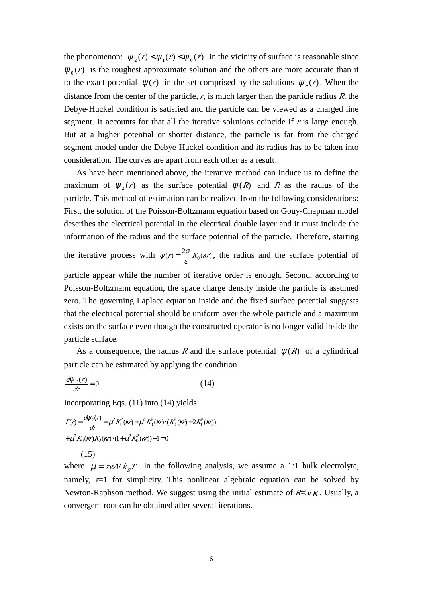the phenomenon:  $\mathcal{I}_2(r) < \mathcal{I}_1(r) < \mathcal{I}_0(r)$  in the vicinity of surface is reasonable since  $\mathcal{I}_0(r)$  is the roughest approximate solution and the others are more accurate than it to the exact potential  $\mathcal{L}(r)$  in the set comprised by the solutions  $\mathcal{L}_n(r)$ . When the distance from the center of the particle, *r*, is much larger than the particle radius *R*, the Debye-Huckel condition is satisfied and the particle can be viewed as a charged line segment. It accounts for that all the iterative solutions coincide if  $r$  is large enough. But at a higher potential or shorter distance, the particle is far from the charged segment model under the Debye-Huckel condition and its radius has to be taken into consideration. The curves are apart from each other as a result.

 As have been mentioned above, the iterative method can induce us to define the maximum of  $\mathcal{I}_2(r)$  as the surface potential  $\mathcal{I}(R)$  and *R* as the radius of the particle. This method of estimation can be realized from the following considerations: First, the solution of the Poisson-Boltzmann equation based on Gouy-Chapman model describes the electrical potential in the electrical double layer and it must include the information of the radius and the surface potential of the particle. Therefore, starting

the iterative process with  $\mathcal{L}(r) = \frac{2f}{V} K_0(r)$  $\mathcal{I}(r) = \frac{2f}{r} K_0(r)$ , the radius and the surface potential of

particle appear while the number of iterative order is enough. Second, according to Poisson-Boltzmann equation, the space charge density inside the particle is assumed zero. The governing Laplace equation inside and the fixed surface potential suggests that the electrical potential should be uniform over the whole particle and a maximum exists on the surface even though the constructed operator is no longer valid inside the particle surface.

As a consequence, the radius *R* and the surface potential  $\mathcal{L}(R)$  of a cylindrical particle can be estimated by applying the condition

$$
\frac{d\mathcal{F}_2(r)}{dr} = 0\tag{14}
$$

Incorporating Eqs. (11) into (14) yields

$$
F(r) = \frac{dE_2(r)}{dr} = -\frac{2}{3}K_1^2(r) + \frac{4}{3}K_0^2(r) \cdot (K_0^2(r) - 2K_1^2(r)) + \frac{2}{3}K_0(r)K_2(r) \cdot (1 + \frac{2}{3}K_0^2(r)) - 1 = 0
$$
\n(15)

where  $\tau = z eA/k_B T$ . In the following analysis, we assume a 1:1 bulk electrolyte, namely,  $z=1$  for simplicity. This nonlinear algebraic equation can be solved by Newton-Raphson method. We suggest using the initial estimate of  $R=5/7$ . Usually, a convergent root can be obtained after several iterations.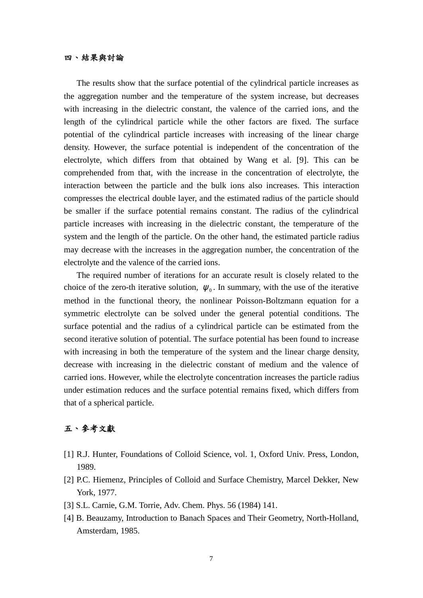#### 四、結果與討論

The results show that the surface potential of the cylindrical particle increases as the aggregation number and the temperature of the system increase, but decreases with increasing in the dielectric constant, the valence of the carried ions, and the length of the cylindrical particle while the other factors are fixed. The surface potential of the cylindrical particle increases with increasing of the linear charge density. However, the surface potential is independent of the concentration of the electrolyte, which differs from that obtained by Wang et al. [9]. This can be comprehended from that, with the increase in the concentration of electrolyte, the interaction between the particle and the bulk ions also increases. This interaction compresses the electrical double layer, and the estimated radius of the particle should be smaller if the surface potential remains constant. The radius of the cylindrical particle increases with increasing in the dielectric constant, the temperature of the system and the length of the particle. On the other hand, the estimated particle radius may decrease with the increases in the aggregation number, the concentration of the electrolyte and the valence of the carried ions.

 The required number of iterations for an accurate result is closely related to the choice of the zero-th iterative solution,  $\mathcal{L}_0$ . In summary, with the use of the iterative method in the functional theory, the nonlinear Poisson-Boltzmann equation for a symmetric electrolyte can be solved under the general potential conditions. The surface potential and the radius of a cylindrical particle can be estimated from the second iterative solution of potential. The surface potential has been found to increase with increasing in both the temperature of the system and the linear charge density, decrease with increasing in the dielectric constant of medium and the valence of carried ions. However, while the electrolyte concentration increases the particle radius under estimation reduces and the surface potential remains fixed, which differs from that of a spherical particle.

### 五、參考文獻

- [1] R.J. Hunter, Foundations of Colloid Science, vol. 1, Oxford Univ. Press, London, 1989.
- [2] P.C. Hiemenz, Principles of Colloid and Surface Chemistry, Marcel Dekker, New York, 1977.
- [3] S.L. Carnie, G.M. Torrie, Adv. Chem. Phys. 56 (1984) 141.
- [4] B. Beauzamy, Introduction to Banach Spaces and Their Geometry, North-Holland, Amsterdam, 1985.